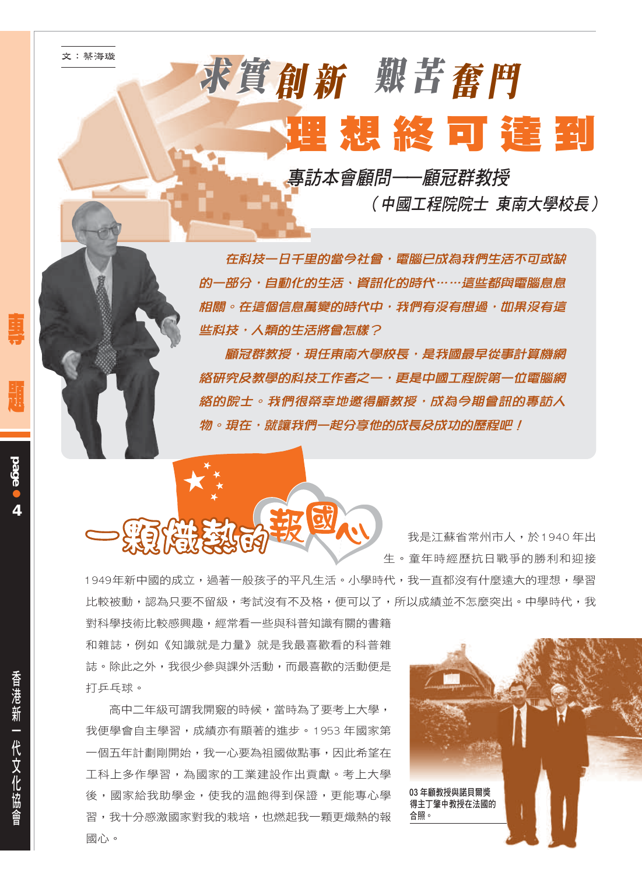## 求實創新 艱苦奮鬥 理想終可達到

事訪本會顧問——顧冠群教授

(中國工程院院十 東南大學校長)

在科技一日千里的當今社會,電腦已成為我們生活不可或缺 的一部分,自動化的生活, 資訊化的時代 …… 這些都與雷腦息息 相關。在這個信息萬變的時代中,我們有沒有想過,如果沒有這 些科技・人類的生活將會怎樣?

顧冠群教授·現任東南大學校長·是我國最早從事計算機網 絡研究及教學的科技工作者之一,更是中國工程院第一位電腦網 絡的院士。我們很榮幸地邀得顧教授・成為今期會訊的專訪人 物。現在, 就讓我們—起分**享他的成長**及成功的歷程吧!



我是江蘇省常州市人,於1940年出 生。童年時經歷抗日戰爭的勝利和抑接

1949年新中國的成立,過著一般孩子的平凡生活。小學時代,我一直都沒有什麼遠大的理想,學習 比較被動,認為只要不留級,考試沒有不及格,便可以了,所以成績並不怎麼突出。中學時代,我

對科學技術比較感興趣,經常看一些與科普知識有關的書籍 和雜誌,例如《知識就是力量》就是我最喜歡看的科普雜 誌。除此之外,我很少參與課外活動,而最喜歡的活動便是 打乒乓球。

高中二年級可謂我開窮的時候, 當時為了要考上大學, 我便學會自主學習,成績亦有顯著的進步。1953年國家第 一個五年計劃剛開始,我一心要為祖國做點事,因此希望在 T科上多作學習,為國家的T業建設作出貢獻。考上大學 後,國家給我助學金,使我的温飽得到保證,更能專心學 習,我十分感激國家對我的栽培,也燃起我一顆更熾熱的報 國心。



**page**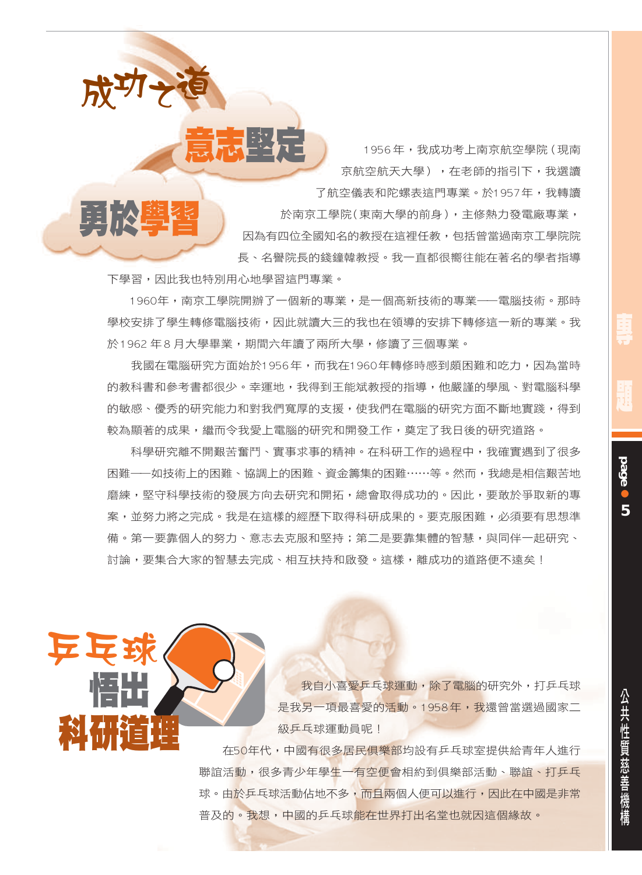1956年,我成功考上南京航空學院(現南 京航空航天大學),在老師的指引下,我選讀 了航空儀表和陀螺表狺門專業。於1957年,我轉讀 於南京工學院(東南大學的前身),主修熱力發電廠專業, 因為有四位全國知名的教授在狺裡任教,包括曾當過南京工學院院 長、名譽院長的錢鐘韓教授。我一直都很嚮往能在著名的學者指導

下學習,因此我也特別用心地學習狺門專業。

成功

 $\mathbf{N}$ 

1960年,南京丅學院開辦了一個新的專業,是一個高新技術的專業——雷腦技術。那時 學校安排了學生轉修電腦技術,因此就讀大三的我也在領導的安排下轉修狺一新的專業。我 於1962年8月大學畢業,期間六年讀了兩所大學,修讀了三個專業。

我國在電腦研究方面始於1956年,而我在1960年轉修時感到頗困難和吃力,因為當時 的教科書和參考書都很少。幸運地,我得到王能斌教授的指導,他嚴謹的學風、對電腦科學 的敏感、優秀的研究能力和對我們寬厚的支援,使我們在雷腦的研究方面不斷地實踐,得到 較為顯著的成果,繼而令我愛上電腦的研究和開發工作,奠定了我日後的研究道路。

科學研究離不開艱苦奮鬥、實事求事的精神。在科研工作的過程中,我確實遇到了很多 困難――如技術上的困難、協調上的困難、資金籌集的困難……等。然而,我總是相信艱苦地 磨練,堅守科學技術的發展方向去研究和開拓,總會取得成功的。因此,要敢於爭取新的專 案,並努力將之完成。我是在狺樣的經歷下取得科研成果的。要克服困難,必須要有思想準 備。第一要靠個人的努力、意志去克服和堅持;第二是要靠集體的智慧,與同伴一起研究、 討論,要集合大家的智慧去完成、相互扶持和啟發。狺樣,離成功的道路便不遠矣!



我自小喜愛乒乓球運動,除了雷腦的研究外,打乒乓球 是我另一項最喜愛的活動。1958年,我還曾當選過國家二 級乒乓球運動員呢!

在50年代,中國有很多居民俱樂部均設有乒乓球室提供給青年人進行 聯誼活動,很多青少年學生一有空便會相約到俱樂部活動、聯誼、打乒乓 球。由於乒乓球活動佔地不多,而且兩個人便可以進行,因此在中國是非常 普及的。我想,中國的乒乓球能在世界打出名堂也就因這個緣故。

**page** 

5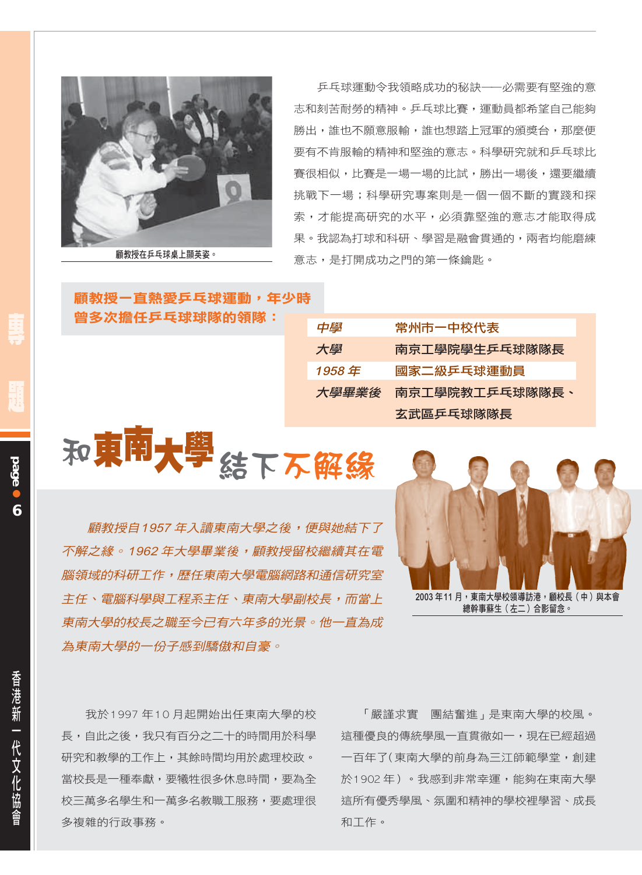

顧教授在乒乓球桌上顯英姿。

乒乓球運動令我領略成功的秘訣——必需要有堅強的意 志和刻苦耐勞的精神。乒乓球比賽,渾動昌都希望自己能夠 勝出,誰也不願意服輸,誰也想踏上冠軍的頒獎台,那麼便 要有不肯服輸的精神和堅強的意志。科學研究就和乒乓球比 **謇很相似,比謇是一場一場的比試,勝出一場後,還要繼續** 挑戰下一場;科學研究專案則是一個一個不斷的實踐和探 索,才能提高研究的水平,必須靠堅強的意志才能取得成 果。我認為打球和科研、學習是融會貫通的,兩者均能磨練 意志,是打開成功之門的第一條鑰匙。

顧教授-直熱愛乒乓球運動,年少時 曾多次擔任乒乓球球隊的領隊:

| 中學    | 常州市一中校代表       |
|-------|----------------|
| 大學    | 南京工學院學生乒乓球隊隊長  |
| 1958年 | 國家二級乒乓球運動員     |
| 大學畢業後 | 南京工學院教工乒乓球隊隊長、 |
|       | 玄武區乒乓球隊隊長      |

和東南大學结下不解綠

顧教授自1957年入讀東南大學之後,便與她結下了 不解之緣。1962年大學畢業後,顧教授留校繼續其在雷 腦領域的科研工作,歷任東南大學電腦網路和通信研究室 主任、電腦科學與工程系主任、東南大學副校長,而當上 東南大學的校長之職至今已有六年多的光景。他一直為成 為東南大學的一份子感到驕傲和自豪。



我於1997年10月起開始出任東南大學的校 長,自此之後,我只有百分之二十的時間用於科學 研究和教學的工作上,其餘時間均用於處理校政。 常校長是一種奉獻,要犧牲很多休息時間,要為全 校三萬多名學生和一萬多名教職工服務,要處理很 多複雜的行政事務。

「嚴謹求實 團結奮進」是東南大學的校風。 這種優良的傳統學風一直貫徹如一,現在已經超過 一百年了(東南大學的前身為三江師範學堂,創建 於1902年)。我感到非常幸運,能夠在東南大學 這所有優秀學風、氛圍和精神的學校裡學習、成長 和工作。